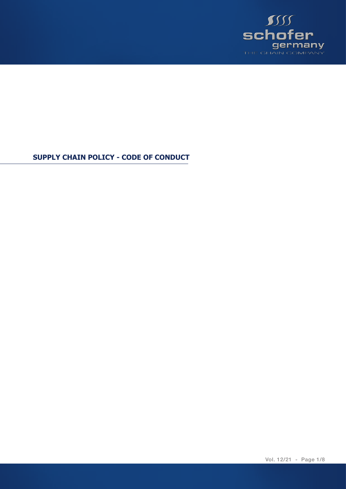

**SUPPLY CHAIN POLICY - CODE OF CONDUCT**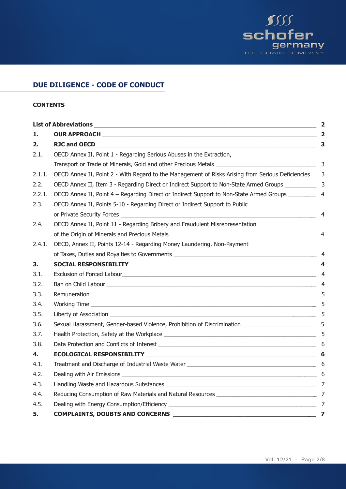

# **DUE DILIGENCE - CODE OF CONDUCT**

## **CONTENTS**

| $\overline{\mathbf{2}}$ |                                                                                                                                |
|-------------------------|--------------------------------------------------------------------------------------------------------------------------------|
| 1.                      |                                                                                                                                |
| 2.                      |                                                                                                                                |
| 2.1.                    | OECD Annex II, Point 1 - Regarding Serious Abuses in the Extraction,                                                           |
|                         |                                                                                                                                |
| 2.1.1.                  | OECD Annex II, Point 2 - With Regard to the Management of Risks Arising from Serious Deficiencies _ 3                          |
| 2.2.                    | OECD Annex II, Item 3 - Regarding Direct or Indirect Support to Non-State Armed Groups __________                              |
| 2.2.1.                  | OECD Annex II, Point 4 - Regarding Direct or Indirect Support to Non-State Armed Groups ________                               |
| 2.3.                    | OECD Annex II, Points 5-10 - Regarding Direct or Indirect Support to Public                                                    |
|                         |                                                                                                                                |
| 2.4.                    | OECD Annex II, Point 11 - Regarding Bribery and Fraudulent Misrepresentation                                                   |
|                         |                                                                                                                                |
| 2.4.1.                  | OECD, Annex II, Points 12-14 - Regarding Money Laundering, Non-Payment                                                         |
|                         | of Taxes, Duties and Royalties to Governments                                                                                  |
| 3.                      |                                                                                                                                |
| 3.1.                    |                                                                                                                                |
| 3.2.                    |                                                                                                                                |
| 3.3.                    |                                                                                                                                |
| 3.4.                    |                                                                                                                                |
| 3.5.                    | Liberty of Association 5                                                                                                       |
| 3.6.                    | Sexual Harassment, Gender-based Violence, Prohibition of Discrimination ____________________________ 5                         |
| 3.7.                    |                                                                                                                                |
| 3.8.                    | Data Protection and Conflicts of Interest entrance and the state of the state of the state of the state of the state of $\sim$ |
| 4.                      |                                                                                                                                |
| 4.1.                    |                                                                                                                                |
| 4.2.                    |                                                                                                                                |
| 4.3.                    |                                                                                                                                |
| 4.4.                    |                                                                                                                                |
| 4.5.                    |                                                                                                                                |
| 5.                      | <b>COMPLAINTS, DOUBTS AND CONCERNS</b>                                                                                         |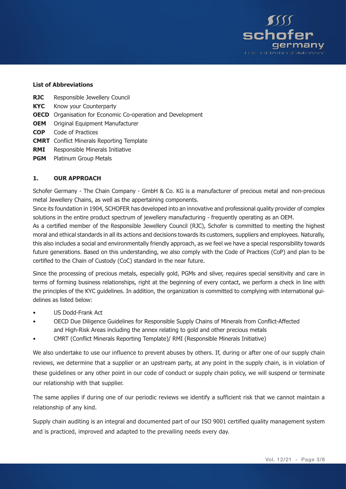

#### **List of Abbreviations**

- **RJC** Responsible Jewellery Council
- **KYC** Know your Counterparty
- **OECD** Organisation for Economic Co-operation and Development
- **OEM** Original Equipment Manufacturer
- **COP** Code of Practices
- **CMRT** Conflict Minerals Reporting Template
- **RMI** Responsible Minerals Initiative
- **PGM** Platinum Group Metals

#### **1. OUR APPROACH**

Schofer Germany - The Chain Company - GmbH & Co. KG is a manufacturer of precious metal and non-precious metal Jewellery Chains, as well as the appertaining components.

Since its foundation in 1904, SCHOFER has developed into an innovative and professional quality provider of complex solutions in the entire product spectrum of jewellery manufacturing - frequently operating as an OEM.

As a certified member of the Responsible Jewellery Council (RJC), Schofer is committed to meeting the highest moral and ethical standards in all its actions and decisions towards its customers, suppliers and employees. Naturally, this also includes a social and environmentally friendly approach, as we feel we have a special responsibility towards future generations. Based on this understanding, we also comply with the Code of Practices (CoP) and plan to be certified to the Chain of Custody (CoC) standard in the near future.

Since the processing of precious metals, especially gold, PGMs and silver, requires special sensitivity and care in terms of forming business relationships, right at the beginning of every contact, we perform a check in line with the principles of the KYC guidelines. In addition, the organization is committed to complying with international guidelines as listed below:

- US Dodd-Frank Act
- OECD Due Diligence Guidelines for Responsible Supply Chains of Minerals from Conflict-Affected and High-Risk Areas including the annex relating to gold and other precious metals
- CMRT (Conflict Minerals Reporting Template)/ RMI (Responsible Minerals Initiative)

We also undertake to use our influence to prevent abuses by others. If, during or after one of our supply chain reviews, we determine that a supplier or an upstream party, at any point in the supply chain, is in violation of these guidelines or any other point in our code of conduct or supply chain policy, we will suspend or terminate our relationship with that supplier.

The same applies if during one of our periodic reviews we identify a sufficient risk that we cannot maintain a relationship of any kind.

Supply chain auditing is an integral and documented part of our ISO 9001 certified quality management system and is practiced, improved and adapted to the prevailing needs every day.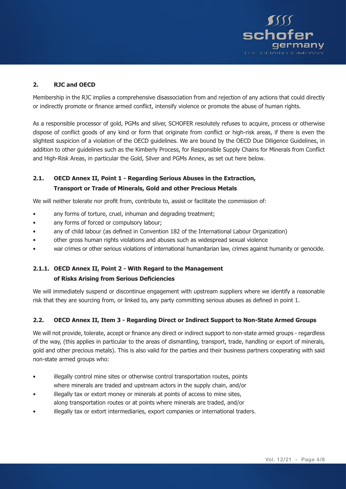

## **2. RJC and OECD**

Membership in the RJC implies a comprehensive disassociation from and rejection of any actions that could directly or indirectly promote or finance armed conflict, intensify violence or promote the abuse of human rights.

As a responsible processor of gold, PGMs and silver, SCHOFER resolutely refuses to acquire, process or otherwise dispose of conflict goods of any kind or form that originate from conflict or high-risk areas, if there is even the slightest suspicion of a violation of the OECD guidelines. We are bound by the OECD Due Diligence Guidelines, in addition to other guidelines such as the Kimberly Process, for Responsible Supply Chains for Minerals from Conflict and High-Risk Areas, in particular the Gold, Silver and PGMs Annex, as set out here below.

## **2.1. OECD Annex II, Point 1 - Regarding Serious Abuses in the Extraction, Transport or Trade of Minerals, Gold and other Precious Metals**

We will neither tolerate nor profit from, contribute to, assist or facilitate the commission of:

- any forms of torture, cruel, inhuman and degrading treatment;
- any forms of forced or compulsory labour;
- any of child labour (as defined in Convention 182 of the International Labour Organization)
- other gross human rights violations and abuses such as widespread sexual violence
- war crimes or other serious violations of international humanitarian law, crimes against humanity or genocide.

## **2.1.1. OECD Annex II, Point 2 - With Regard to the Management of Risks Arising from Serious Deficiencies**

We will immediately suspend or discontinue engagement with upstream suppliers where we identify a reasonable risk that they are sourcing from, or linked to, any party committing serious abuses as defined in point 1.

## **2.2. OECD Annex II, Item 3 - Regarding Direct or Indirect Support to Non-State Armed Groups**

We will not provide, tolerate, accept or finance any direct or indirect support to non-state armed groups - regardless of the way, (this applies in particular to the areas of dismantling, transport, trade, handling or export of minerals, gold and other precious metals). This is also valid for the parties and their business partners cooperating with said non-state armed groups who:

- illegally control mine sites or otherwise control transportation routes, points where minerals are traded and upstream actors in the supply chain, and/or
- illegally tax or extort money or minerals at points of access to mine sites,
- along transportation routes or at points where minerals are traded, and/or
- illegally tax or extort intermediaries, export companies or international traders.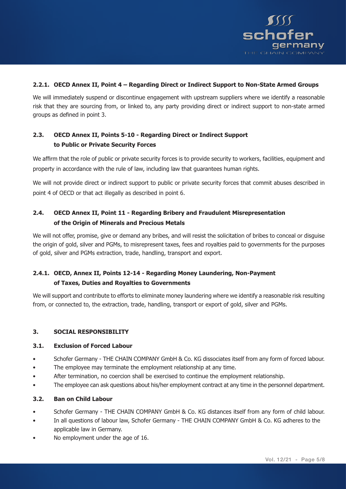

## **2.2.1. OECD Annex II, Point 4 – Regarding Direct or Indirect Support to Non-State Armed Groups**

We will immediately suspend or discontinue engagement with upstream suppliers where we identify a reasonable risk that they are sourcing from, or linked to, any party providing direct or indirect support to non-state armed groups as defined in point 3.

## **2.3. OECD Annex II, Points 5-10 - Regarding Direct or Indirect Support to Public or Private Security Forces**

We affirm that the role of public or private security forces is to provide security to workers, facilities, equipment and property in accordance with the rule of law, including law that guarantees human rights.

We will not provide direct or indirect support to public or private security forces that commit abuses described in point 4 of OECD or that act illegally as described in point 6.

## **2.4. OECD Annex II, Point 11 - Regarding Bribery and Fraudulent Misrepresentation of the Origin of Minerals and Precious Metals**

We will not offer, promise, give or demand any bribes, and will resist the solicitation of bribes to conceal or disguise the origin of gold, silver and PGMs, to misrepresent taxes, fees and royalties paid to governments for the purposes of gold, silver and PGMs extraction, trade, handling, transport and export.

## **2.4.1. OECD, Annex II, Points 12-14 - Regarding Money Laundering, Non-Payment of Taxes, Duties and Royalties to Governments**

We will support and contribute to efforts to eliminate money laundering where we identify a reasonable risk resulting from, or connected to, the extraction, trade, handling, transport or export of gold, silver and PGMs.

## **3. SOCIAL RESPONSIBILITY**

#### **3.1. Exclusion of Forced Labour**

- Schofer Germany THE CHAIN COMPANY GmbH & Co. KG dissociates itself from any form of forced labour.
- The employee may terminate the employment relationship at any time.
- After termination, no coercion shall be exercised to continue the employment relationship.
- The employee can ask questions about his/her employment contract at any time in the personnel department.

## **3.2. Ban on Child Labour**

- Schofer Germany THE CHAIN COMPANY GmbH & Co. KG distances itself from any form of child labour.
- In all questions of labour law, Schofer Germany THE CHAIN COMPANY GmbH & Co. KG adheres to the applicable law in Germany.
- No employment under the age of 16.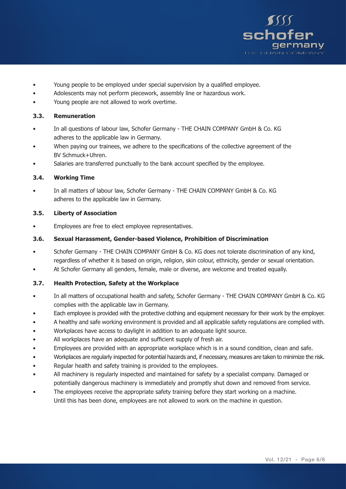

- Young people to be employed under special supervision by a qualified employee.
- Adolescents may not perform piecework, assembly line or hazardous work.
- Young people are not allowed to work overtime.

#### **3.3. Remuneration**

- In all questions of labour law, Schofer Germany THE CHAIN COMPANY GmbH & Co. KG adheres to the applicable law in Germany.
- When paying our trainees, we adhere to the specifications of the collective agreement of the BV Schmuck+Uhren.
- Salaries are transferred punctually to the bank account specified by the employee.

#### **3.4. Working Time**

In all matters of labour law, Schofer Germany - THE CHAIN COMPANY GmbH & Co. KG adheres to the applicable law in Germany.

#### **3.5. Liberty of Association**

• Employees are free to elect employee representatives.

#### **3.6. Sexual Harassment, Gender-based Violence, Prohibition of Discrimination**

- Schofer Germany THE CHAIN COMPANY GmbH & Co. KG does not tolerate discrimination of any kind, regardless of whether it is based on origin, religion, skin colour, ethnicity, gender or sexual orientation.
- At Schofer Germany all genders, female, male or diverse, are welcome and treated equally.

## **3.7. Health Protection, Safety at the Workplace**

- In all matters of occupational health and safety, Schofer Germany THE CHAIN COMPANY GmbH & Co. KG complies with the applicable law in Germany.
- Each employee is provided with the protective clothing and equipment necessary for their work by the employer.
- A healthy and safe working environment is provided and all applicable safety regulations are complied with.
- Workplaces have access to daylight in addition to an adequate light source.
- All workplaces have an adequate and sufficient supply of fresh air.
- Employees are provided with an appropriate workplace which is in a sound condition, clean and safe.
- Workplaces are regularly inspected for potential hazards and, if necessary, measures are taken to minimize the risk.
- Regular health and safety training is provided to the employees.
- All machinery is regularly inspected and maintained for safety by a specialist company. Damaged or potentially dangerous machinery is immediately and promptly shut down and removed from service.
- The employees receive the appropriate safety training before they start working on a machine. Until this has been done, employees are not allowed to work on the machine in question.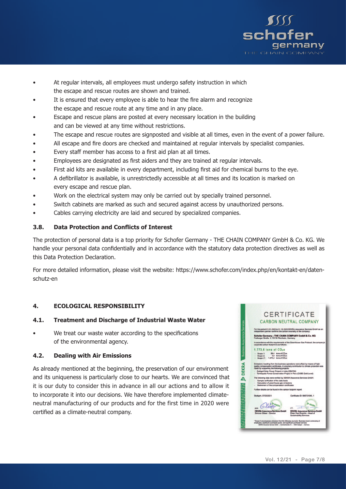

- At regular intervals, all employees must undergo safety instruction in which the escape and rescue routes are shown and trained.
- It is ensured that every employee is able to hear the fire alarm and recognize the escape and rescue route at any time and in any place.
- Escape and rescue plans are posted at every necessary location in the building and can be viewed at any time without restrictions.
- The escape and rescue routes are signposted and visible at all times, even in the event of a power failure.
- All escape and fire doors are checked and maintained at regular intervals by specialist companies.
- Every staff member has access to a first aid plan at all times.
- Employees are designated as first aiders and they are trained at regular intervals.
- First aid kits are available in every department, including first aid for chemical burns to the eye.
- A defibrillator is available, is unrestrictedly accessible at all times and its location is marked on every escape and rescue plan.
- Work on the electrical system may only be carried out by specially trained personnel.
- Switch cabinets are marked as such and secured against access by unauthorized persons.
- Cables carrying electricity are laid and secured by specialized companies.

## **3.8. Data Protection and Conflicts of Interest**

The protection of personal data is a top priority for Schofer Germany - THE CHAIN COMPANY GmbH & Co. KG. We handle your personal data confidentially and in accordance with the statutory data protection directives as well as this Data Protection Declaration.

For more detailed information, please visit the website: https://www.schofer.com/index.php/en/kontakt-en/datenschutz-en

## **4. ECOLOGICAL RESPONSIBILITY**

## **4.1. Treatment and Discharge of Industrial Waste Water**

We treat our waste water according to the specifications of the environmental agency.

## **4.2. Dealing with Air Emissions**

As already mentioned at the beginning, the preservation of our environment and its uniqueness is particularly close to our hearts. We are convinced that it is our duty to consider this in advance in all our actions and to allow it to incorporate it into our decisions. We have therefore implemented climateneutral manufacturing of our products and for the first time in 2020 were certified as a climate-neutral company.